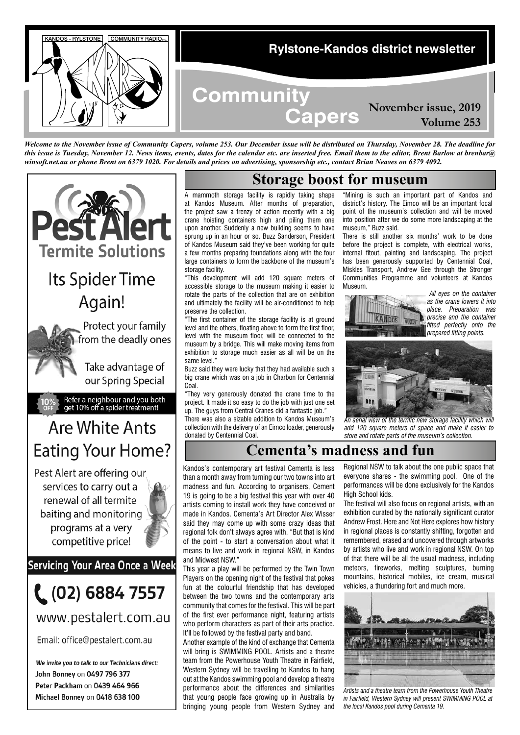

*Welcome to the November issue of Community Capers, volume 253. Our December issue will be distributed on Thursday, November 28. The deadline for this issue is Tuesday, November 12. News items, events, dates for the calendar etc. are inserted free. Email them to the editor, Brent Barlow at brenbar@ winsoft.net.au or phone Brent on 6379 1020. For details and prices on advertising, sponsorship etc., contact Brian Neaves on 6379 4092.*



We invite you to talk to our Technicians direct: John Bonney on 0497 796 377 Peter Packham on 0439 464 966 Michael Bonney on 0418 638 100

## **Storage boost for museum**

A mammoth storage facility is rapidly taking shape at Kandos Museum. After months of preparation, the project saw a frenzy of action recently with a big crane hoisting containers high and piling them one upon another. Suddenly a new building seems to have sprung up in an hour or so. Buzz Sanderson, President of Kandos Museum said they've been working for quite a few months preparing foundations along with the four large containers to form the backbone of the museum's storage facility.

"This development will add 120 square meters of accessible storage to the museum making it easier to rotate the parts of the collection that are on exhibition and ultimately the facility will be air-conditioned to help preserve the collection.

.<br>"The first container of the storage facility is at ground level and the others, floating above to form the first floor, level with the museum floor, will be connected to the museum by a bridge. This will make moving items from exhibition to storage much easier as all will be on the same level."

Buzz said they were lucky that they had available such a big crane which was on a job in Charbon for Centennial Coal.

"They very generously donated the crane time to the project. It made it so easy to do the job with just one set up. The guys from Central Cranes did a fantastic job."

There was also a sizable addition to Kandos Museum's collection with the delivery of an Eimco loader, generously donated by Centennial Coal.

"Mining is such an important part of Kandos and district's history. The Eimco will be an important focal point of the museum's collection and will be moved into position after we do some more landscaping at the museum," Buzz said.

There is still another six months' work to be done before the project is complete, with electrical works, internal fitout, painting and landscaping. The project has been generously supported by Centennial Coal, Miskles Transport, Andrew Gee through the Stronger Communities Programme and volunteers at Kandos Museum.



 *All eyes on the container as the crane lowers it into place. Preparation was precise and the container fitted perfectly onto the prepared fitting points.*



*An aerial view of the terrific new storage facility which will add 120 square meters of space and make it easier to store and rotate parts of the museum's collection.*

# **Cementa's madness and fun**

Kandos's contemporary art festival Cementa is less than a month away from turning our two towns into art madness and fun. According to organisers, Cement 19 is going to be a big festival this year with over 40 artists coming to install work they have conceived or made in Kandos. Cementa's Art Director Alex Wisser said they may come up with some crazy ideas that regional folk don't always agree with. "But that is kind of the point - to start a conversation about what it means to live and work in regional NSW, in Kandos and Midwest NSW."

This year a play will be performed by the Twin Town Players on the opening night of the festival that pokes fun at the colourful friendship that has developed between the two towns and the contemporary arts community that comes for the festival. This will be part of the first ever performance night, featuring artists who perform characters as part of their arts practice. It'll be followed by the festival party and band.

Another example of the kind of exchange that Cementa will bring is SWIMMING POOL. Artists and a theatre team from the Powerhouse Youth Theatre in Fairfield, Western Sydney will be travelling to Kandos to hang out at the Kandos swimming pool and develop a theatre performance about the differences and similarities that young people face growing up in Australia by bringing young people from Western Sydney and Regional NSW to talk about the one public space that everyone shares - the swimming pool. One of the performances will be done exclusively for the Kandos High School kids.

The festival will also focus on regional artists, with an exhibition curated by the nationally significant curator Andrew Frost. Here and Not Here explores how history in regional places is constantly shifting, forgotten and remembered, erased and uncovered through artworks by artists who live and work in regional NSW. On top of that there will be all the usual madness, including meteors, fireworks, melting sculptures, burning mountains, historical mobiles, ice cream, musical vehicles, a thundering fort and much more.



*Artists and a theatre team from the Powerhouse Youth Theatre in Fairfield, Western Sydney will present SWIMMING POOL at the local Kandos pool during Cementa 19.*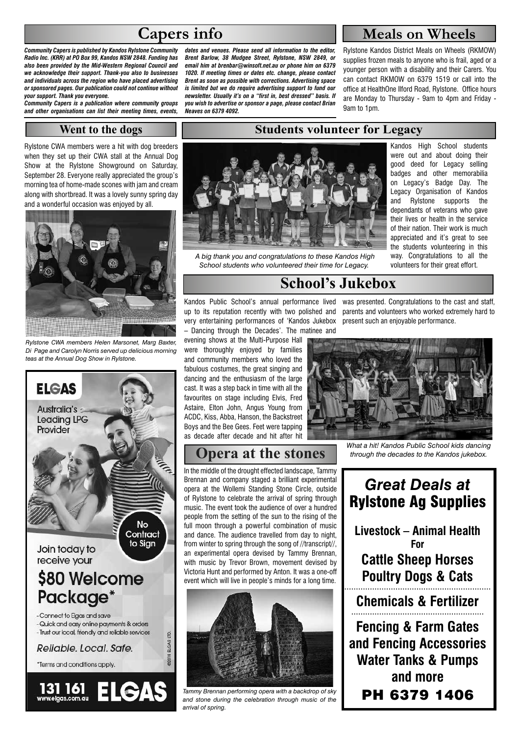# **Capers info**

*Community Capers is published by Kandos Rylstone Community Radio Inc. (KRR) at PO Box 99, Kandos NSW 2848. Funding has also been provided by the Mid-Western Regional Council and we acknowledge their support. Thank-you also to businesses and individuals across the region who have placed advertising or sponsored pages. Our publication could not continue without your support. Thank you everyone.* 

*Community Capers is a publication where community groups and other organisations can list their meeting times, events,* 

#### **Went to the dogs**

Rylstone CWA members were a hit with dog breeders when they set up their CWA stall at the Annual Dog Show at the Rylstone Showground on Saturday, September 28. Everyone really appreciated the group's morning tea of home-made scones with jam and cream along with shortbread. It was a lovely sunny spring day and a wonderful occasion was enjoyed by all.



*Rylstone CWA members Helen Marsonet, Marg Baxter, Di Page and Carolyn Norris served up delicious morning teas at the Annual Dog Show in Rylstone.*



*dates and venues. Please send all information to the editor, Brent Barlow, 38 Mudgee Street, Rylstone, NSW 2849, or email him at brenbar@winsoft.net.au or phone him on 6379 1020. If meeting times or dates etc. change, please contact Brent as soon as possible with corrections. Advertising space is limited but we do require advertising support to fund our newsletter. Usually it's on a "first in, best dressed" basis. If you wish to advertise or sponsor a page, please contact Brian Neaves on 6379 4092.*

## **Meals on Wheels**

Rylstone Kandos District Meals on Wheels (RKMOW) supplies frozen meals to anyone who is frail, aged or a younger person with a disability and their Carers. You can contact RKMOW on 6379 1519 or call into the office at HealthOne Ilford Road, Rylstone. Office hours are Monday to Thursday - 9am to 4pm and Friday - 9am to 1pm.

> Kandos High School students were out and about doing their good deed for Legacy selling badges and other memorabilia on Legacy's Badge Day. The Legacy Organisation of Kandos and Rylstone supports the dependants of veterans who gave their lives or health in the service of their nation. Their work is much appreciated and it's great to see the students volunteering in this way. Congratulations to all the volunteers for their great effort.



 *A big thank you and congratulations to these Kandos High School students who volunteered their time for Legacy.*

## **School's Jukebox**

**Students volunteer for Legacy**

Kandos Public School's annual performance lived was presented. Congratulations to the cast and staff, up to its reputation recently with two polished and parents and volunteers who worked extremely hard to very entertaining performances of 'Kandos Jukebox present such an enjoyable performance. – Dancing through the Decades'. The matinee and

evening shows at the Multi-Purpose Hall were thoroughly enjoyed by families and community members who loved the fabulous costumes, the great singing and dancing and the enthusiasm of the large cast. It was a step back in time with all the favourites on stage including Elvis, Fred Astaire, Elton John, Angus Young from ACDC, Kiss, Abba, Hanson, the Backstreet Boys and the Bee Gees. Feet were tapping as decade after decade and hit after hit

## **Opera at the stones**

In the middle of the drought effected landscape, Tammy Brennan and company staged a brilliant experimental opera at the Wollemi Standing Stone Circle, outside of Rylstone to celebrate the arrival of spring through music. The event took the audience of over a hundred people from the setting of the sun to the rising of the full moon through a powerful combination of music and dance. The audience travelled from day to night, from winter to spring through the song of //transcript//, an experimental opera devised by Tammy Brennan, with music by Trevor Brown, movement devised by Victoria Hunt and performed by Anton. It was a one-off event which will live in people's minds for a long time.



*Tammy Brennan performing opera with a backdrop of sky and stone during the celebration through music of the arrival of spring.*



*What a hit! Kandos Public School kids dancing through the decades to the Kandos jukebox.*

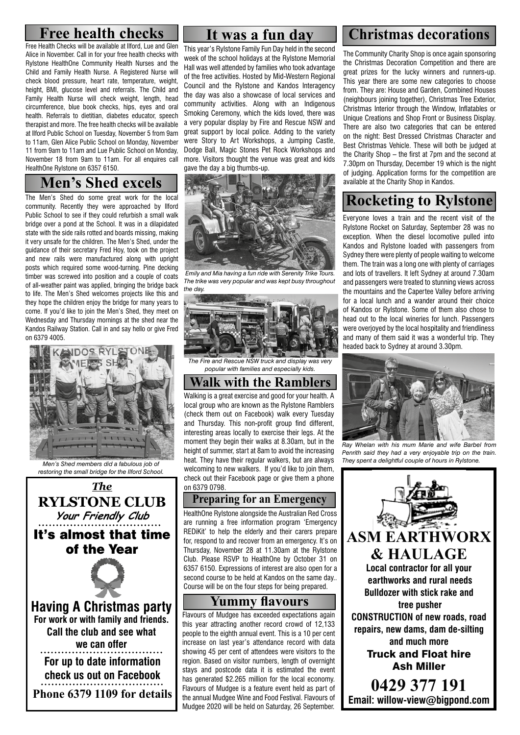Free Health Checks will be available at Ilford, Lue and Glen Alice in November. Call in for your free health checks with Rylstone HealthOne Community Health Nurses and the Child and Family Health Nurse. A Registered Nurse will check blood pressure, heart rate, temperature, weight, height, BMI, glucose level and referrals. The Child and Family Health Nurse will check weight, length, head circumference, blue book checks, hips, eyes and oral health. Referrals to dietitian, diabetes educator, speech therapist and more. The free health checks will be available at Ilford Public School on Tuesday, November 5 from 9am to 11am, Glen Alice Public School on Monday, November 11 from 9am to 11am and Lue Public School on Monday, November 18 from 9am to 11am. For all enquires call HealthOne Rylstone on 6357 6150.

# **Men's Shed excels**

The Men's Shed do some great work for the local community. Recently they were approached by Ilford Public School to see if they could refurbish a small walk bridge over a pond at the School. It was in a dilapidated state with the side rails rotted and boards missing, making it very unsafe for the children. The Men's Shed, under the guidance of their secretary Fred Hoy, took on the project and new rails were manufactured along with upright posts which required some wood-turning. Pine decking timber was screwed into position and a couple of coats of all-weather paint was applied, bringing the bridge back to life. The Men's Shed welcomes projects like this and they hope the children enjoy the bridge for many years to come. If you'd like to join the Men's Shed, they meet on Wednesday and Thursday mornings at the shed near the Kandos Railway Station. Call in and say hello or give Fred on 6379 4005.



*Men's Shed members did a fabulous job of restoring the small bridge for the Ilford School.*



This year's Rylstone Family Fun Day held in the second week of the school holidays at the Rylstone Memorial Hall was well attended by families who took advantage of the free activities. Hosted by Mid-Western Regional Council and the Rylstone and Kandos Interagency the day was also a showcase of local services and community activities. Along with an Indigenous Smoking Ceremony, which the kids loved, there was a very popular display by Fire and Rescue NSW and great support by local police. Adding to the variety were Story to Art Workshops, a Jumping Castle, Dodge Ball, Magic Stones Pet Rock Workshops and more. Visitors thought the venue was great and kids gave the day a big thumbs-up.



 *Emily and Mia having a fun ride with Serenity Trike Tours. The trike was very popular and was kept busy throughout the day.*



*The Fire and Rescue NSW truck and display was very popular with families and especially kids.*

**Walk with the Ramblers** Walking is a great exercise and good for your health. A local group who are known as the Rylstone Ramblers (check them out on Facebook) walk every Tuesday and Thursday. This non-profit group find different, interesting areas locally to exercise their legs. At the moment they begin their walks at 8.30am, but in the height of summer, start at 8am to avoid the increasing heat. They have their regular walkers, but are always welcoming to new walkers. If you'd like to join them, check out their Facebook page or give them a phone on 6379 0798.

#### **Preparing for an Emergency**

HealthOne Rylstone alongside the Australian Red Cross are running a free information program 'Emergency REDiKit' to help the elderly and their carers prepare for, respond to and recover from an emergency. It's on Thursday, November 28 at 11.30am at the Rylstone Club. Please RSVP to HealthOne by October 31 on 6357 6150. Expressions of interest are also open for a second course to be held at Kandos on the same day.. Course will be on the four steps for being prepared.

## **Yummy flavours**

Flavours of Mudgee has exceeded expectations again this year attracting another record crowd of 12,133 people to the eighth annual event. This is a 10 per cent increase on last year's attendance record with data showing 45 per cent of attendees were visitors to the region. Based on visitor numbers, length of overnight stays and postcode data it is estimated the event has generated \$2.265 million for the local economy. Flavours of Mudgee is a feature event held as part of the annual Mudgee Wine and Food Festival. Flavours of Mudgee 2020 will be held on Saturday, 26 September.

# **Free health checks Theory is a funday Christmas decorations**

The Community Charity Shop is once again sponsoring the Christmas Decoration Competition and there are great prizes for the lucky winners and runners-up. This year there are some new categories to choose from. They are: House and Garden, Combined Houses (neighbours joining together), Christmas Tree Exterior, Christmas Interior through the Window, Inflatables or Unique Creations and Shop Front or Business Display. There are also two categories that can be entered on the night: Best Dressed Christmas Character and Best Christmas Vehicle. These will both be judged at the Charity Shop – the first at 7pm and the second at 7.30pm on Thursday, December 19 which is the night of judging. Application forms for the competition are available at the Charity Shop in Kandos.

# **Rocketing to Rylstone**

Everyone loves a train and the recent visit of the Rylstone Rocket on Saturday, September 28 was no exception. When the diesel locomotive pulled into Kandos and Rylstone loaded with passengers from Sydney there were plenty of people waiting to welcome them. The train was a long one with plenty of carriages and lots of travellers. It left Sydney at around 7.30am and passengers were treated to stunning views across the mountains and the Capertee Valley before arriving for a local lunch and a wander around their choice of Kandos or Rylstone. Some of them also chose to head out to the local wineries for lunch. Passengers were overjoyed by the local hospitality and friendliness and many of them said it was a wonderful trip. They headed back to Sydney at around 3.30pm.



*Ray Whelan with his mum Marie and wife Barbel from Penrith said they had a very enjoyable trip on the train. They spent a delightful couple of hours in Rylstone.*